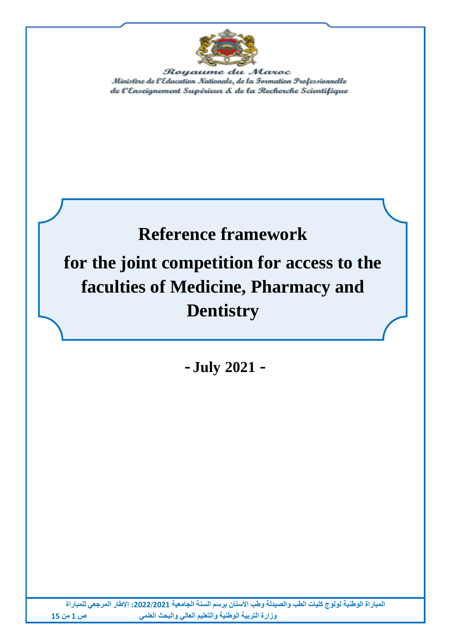

Royaume du Maroc Ministère de l'Education Nationale, de la Formation Prefessionnelle de l'Enseignement Supérieur & de la Recherche Scientifique

# **Reference framework for the joint competition for access to the faculties of Medicine, Pharmacy and Dentistry**

**- July 2021 -**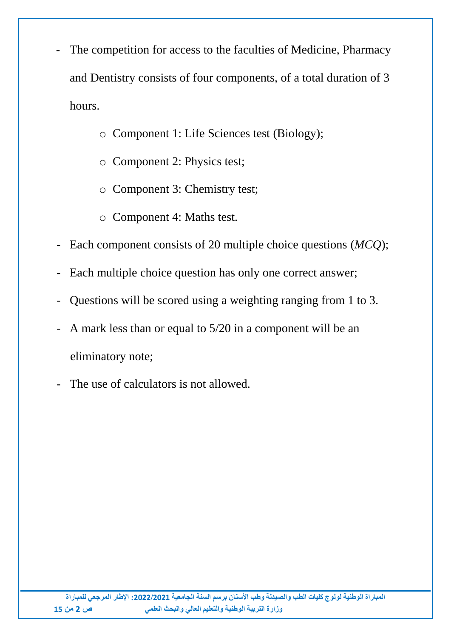- The competition for access to the faculties of Medicine, Pharmacy and Dentistry consists of four components, of a total duration of 3 hours.
	- o Component 1: Life Sciences test (Biology);
	- o Component 2: Physics test;
	- o Component 3: Chemistry test;
	- o Component 4: Maths test.
- Each component consists of 20 multiple choice questions (*MCQ*);
- Each multiple choice question has only one correct answer;
- Questions will be scored using a weighting ranging from 1 to 3.
- A mark less than or equal to  $5/20$  in a component will be an eliminatory note;
- The use of calculators is not allowed.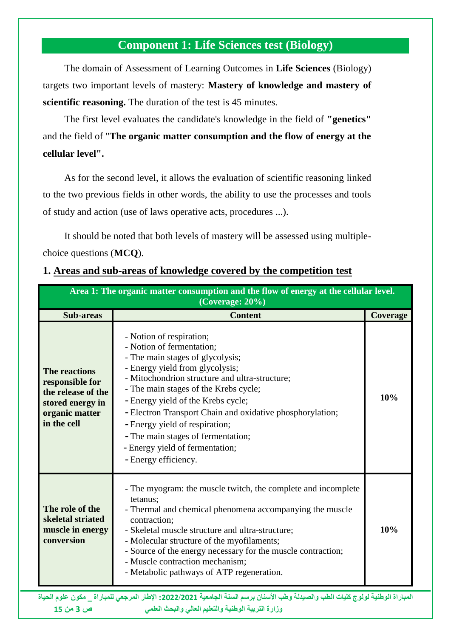# **Component 1: Life Sciences test (Biology)**

The domain of Assessment of Learning Outcomes in **Life Sciences** (Biology) targets two important levels of mastery: **Mastery of knowledge and mastery of scientific reasoning.** The duration of the test is 45 minutes.

The first level evaluates the candidate's knowledge in the field of **"genetics"** and the field of "**The organic matter consumption and the flow of energy at the cellular level".**

As for the second level, it allows the evaluation of scientific reasoning linked to the two previous fields in other words, the ability to use the processes and tools of study and action (use of laws operative acts, procedures ...).

It should be noted that both levels of mastery will be assessed using multiplechoice questions (**MCQ**).

#### **1. Areas and sub-areas of knowledge covered by the competition test**

| Area 1: The organic matter consumption and the flow of energy at the cellular level.<br>$(Coverage: 20\%)$         |                                                                                                                                                                                                                                                                                                                                                                                                                                                               |                 |  |
|--------------------------------------------------------------------------------------------------------------------|---------------------------------------------------------------------------------------------------------------------------------------------------------------------------------------------------------------------------------------------------------------------------------------------------------------------------------------------------------------------------------------------------------------------------------------------------------------|-----------------|--|
| <b>Sub-areas</b>                                                                                                   | <b>Content</b>                                                                                                                                                                                                                                                                                                                                                                                                                                                | <b>Coverage</b> |  |
| <b>The reactions</b><br>responsible for<br>the release of the<br>stored energy in<br>organic matter<br>in the cell | - Notion of respiration;<br>- Notion of fermentation;<br>- The main stages of glycolysis;<br>- Energy yield from glycolysis;<br>- Mitochondrion structure and ultra-structure;<br>- The main stages of the Krebs cycle;<br>- Energy yield of the Krebs cycle;<br>- Electron Transport Chain and oxidative phosphorylation;<br>- Energy yield of respiration;<br>- The main stages of fermentation;<br>- Energy yield of fermentation;<br>- Energy efficiency. | 10%             |  |
| The role of the<br>skeletal striated<br>muscle in energy<br>conversion                                             | - The myogram: the muscle twitch, the complete and incomplete<br>tetanus;<br>- Thermal and chemical phenomena accompanying the muscle<br>contraction;<br>- Skeletal muscle structure and ultra-structure;<br>- Molecular structure of the myofilaments;<br>- Source of the energy necessary for the muscle contraction;<br>- Muscle contraction mechanism;<br>- Metabolic pathways of ATP regeneration.                                                       | 10%             |  |

**المباراة الوطنية لولوج كليات الطب والصيدلة وطب األسنان برسم السنة الجامعية :0200/0202 اإلطار المرجعي للمباراة \_ مكون علوم الحياة وزارة التربية الوطنية والتعليم العالي والبحث العلمي ص 3 من 25**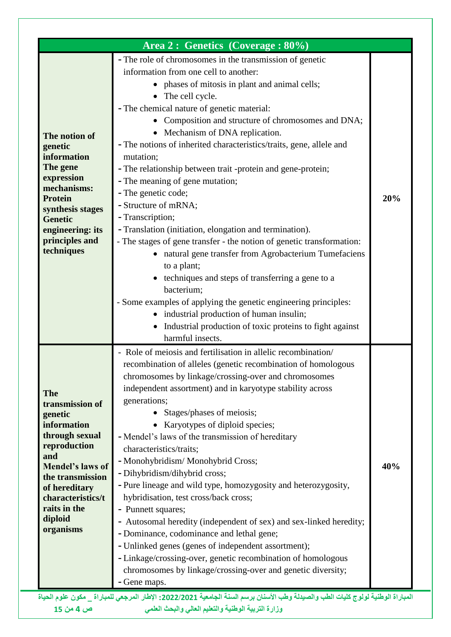|                                                           | - The role of chromosomes in the transmission of genetic              |     |
|-----------------------------------------------------------|-----------------------------------------------------------------------|-----|
|                                                           | information from one cell to another:                                 |     |
|                                                           | • phases of mitosis in plant and animal cells;                        |     |
|                                                           | • The cell cycle.                                                     |     |
|                                                           | - The chemical nature of genetic material:                            |     |
|                                                           | • Composition and structure of chromosomes and DNA;                   |     |
| The notion of                                             | • Mechanism of DNA replication.                                       |     |
| genetic                                                   | - The notions of inherited characteristics/traits, gene, allele and   |     |
| information                                               | mutation;                                                             |     |
| The gene                                                  | - The relationship between trait -protein and gene-protein;           |     |
| expression                                                | - The meaning of gene mutation;                                       |     |
| mechanisms:<br><b>Protein</b>                             | - The genetic code;                                                   | 20% |
| synthesis stages                                          | - Structure of mRNA;                                                  |     |
| <b>Genetic</b>                                            | - Transcription;                                                      |     |
| engineering: its                                          | - Translation (initiation, elongation and termination).               |     |
| principles and                                            | - The stages of gene transfer - the notion of genetic transformation: |     |
| techniques                                                | natural gene transfer from Agrobacterium Tumefaciens                  |     |
|                                                           | to a plant;                                                           |     |
|                                                           | techniques and steps of transferring a gene to a                      |     |
|                                                           | bacterium;                                                            |     |
|                                                           | - Some examples of applying the genetic engineering principles:       |     |
|                                                           | • industrial production of human insulin;                             |     |
|                                                           | Industrial production of toxic proteins to fight against              |     |
|                                                           | harmful insects.                                                      |     |
|                                                           | - Role of meiosis and fertilisation in allelic recombination/         |     |
|                                                           | recombination of alleles (genetic recombination of homologous         |     |
|                                                           | chromosomes by linkage/crossing-over and chromosomes                  |     |
| <b>The</b>                                                | independent assortment) and in karyotype stability across             |     |
| transmission of                                           | generations;                                                          |     |
| genetic                                                   | • Stages/phases of meiosis;                                           |     |
| information                                               | • Karyotypes of diploid species;                                      |     |
| through sexual                                            | - Mendel's laws of the transmission of hereditary                     |     |
| reproduction                                              | characteristics/traits;                                               |     |
| and<br>Mendel's laws of                                   | - Monohybridism/ Monohybrid Cross;                                    | 40% |
| the transmission                                          | - Dihybridism/dihybrid cross;                                         |     |
| of hereditary                                             | - Pure lineage and wild type, homozygosity and heterozygosity,        |     |
|                                                           | hybridisation, test cross/back cross;                                 |     |
|                                                           | - Punnett squares;                                                    |     |
|                                                           |                                                                       |     |
|                                                           | - Autosomal heredity (independent of sex) and sex-linked heredity;    |     |
|                                                           | - Dominance, codominance and lethal gene;                             |     |
|                                                           | - Unlinked genes (genes of independent assortment);                   |     |
|                                                           | - Linkage/crossing-over, genetic recombination of homologous          |     |
| characteristics/t<br>raits in the<br>diploid<br>organisms | chromosomes by linkage/crossing-over and genetic diversity;           |     |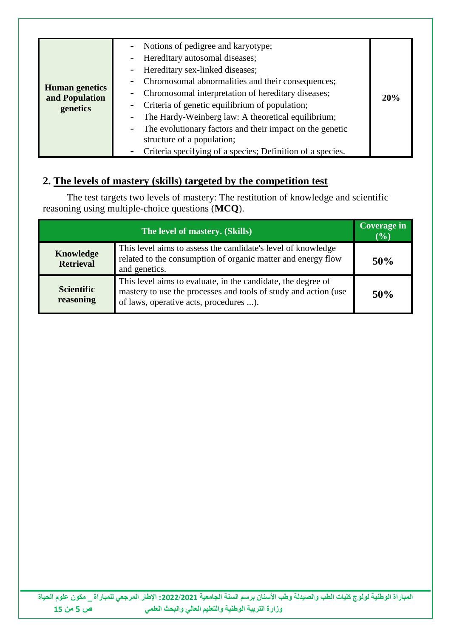| <b>Human</b> genetics<br>and Population<br>genetics |
|-----------------------------------------------------|
|-----------------------------------------------------|

# **2. The levels of mastery (skills) targeted by the competition test**

The test targets two levels of mastery: The restitution of knowledge and scientific reasoning using multiple-choice questions (**MCQ**).

| The level of mastery. (Skills)       |                                                                                                                                                                           | <b>Coverage in</b><br>$\overline{(}0)$ |
|--------------------------------------|---------------------------------------------------------------------------------------------------------------------------------------------------------------------------|----------------------------------------|
| <b>Knowledge</b><br><b>Retrieval</b> | This level aims to assess the candidate's level of knowledge<br>related to the consumption of organic matter and energy flow<br>and genetics.                             | 50%                                    |
| <b>Scientific</b><br>reasoning       | This level aims to evaluate, in the candidate, the degree of<br>mastery to use the processes and tools of study and action (use<br>of laws, operative acts, procedures ). | 50%                                    |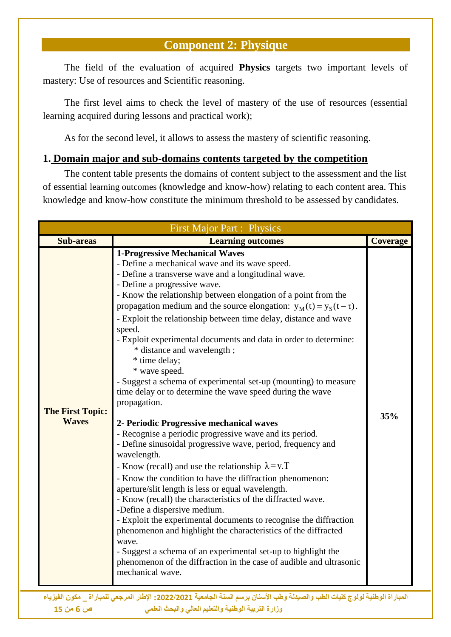### **Component 2: Physique**

The field of the evaluation of acquired **Physics** targets two important levels of mastery: Use of resources and Scientific reasoning.

The first level aims to check the level of mastery of the use of resources (essential learning acquired during lessons and practical work);

As for the second level, it allows to assess the mastery of scientific reasoning.

#### **1. Domain major and sub-domains contents targeted by the competition**

The content table presents the domains of content subject to the assessment and the list of essential learning outcomes (knowledge and know-how) relating to each content area. This knowledge and know-how constitute the minimum threshold to be assessed by candidates.

|                                         | <b>First Major Part : Physics</b>                                                                                                                                                                                                                                                                                                                                                                                                                                                                                                                                                                                                                                                                                                                                                                                                                                                                                                                                                                                                                                                                                                                                                                                                                                                                                                                                                                                                                                                 |                 |
|-----------------------------------------|-----------------------------------------------------------------------------------------------------------------------------------------------------------------------------------------------------------------------------------------------------------------------------------------------------------------------------------------------------------------------------------------------------------------------------------------------------------------------------------------------------------------------------------------------------------------------------------------------------------------------------------------------------------------------------------------------------------------------------------------------------------------------------------------------------------------------------------------------------------------------------------------------------------------------------------------------------------------------------------------------------------------------------------------------------------------------------------------------------------------------------------------------------------------------------------------------------------------------------------------------------------------------------------------------------------------------------------------------------------------------------------------------------------------------------------------------------------------------------------|-----------------|
| <b>Sub-areas</b>                        | <b>Learning outcomes</b>                                                                                                                                                                                                                                                                                                                                                                                                                                                                                                                                                                                                                                                                                                                                                                                                                                                                                                                                                                                                                                                                                                                                                                                                                                                                                                                                                                                                                                                          | <b>Coverage</b> |
| <b>The First Topic:</b><br><b>Waves</b> | <b>1-Progressive Mechanical Waves</b><br>- Define a mechanical wave and its wave speed.<br>- Define a transverse wave and a longitudinal wave.<br>- Define a progressive wave.<br>- Know the relationship between elongation of a point from the<br>propagation medium and the source elongation: $y_M(t) = y_S(t - \tau)$ .<br>- Exploit the relationship between time delay, distance and wave<br>speed.<br>- Exploit experimental documents and data in order to determine:<br>* distance and wavelength;<br>* time delay;<br>* wave speed.<br>- Suggest a schema of experimental set-up (mounting) to measure<br>time delay or to determine the wave speed during the wave<br>propagation.<br>2- Periodic Progressive mechanical waves<br>- Recognise a periodic progressive wave and its period.<br>- Define sinusoidal progressive wave, period, frequency and<br>wavelength.<br>- Know (recall) and use the relationship $\lambda = v \cdot T$<br>- Know the condition to have the diffraction phenomenon:<br>aperture/slit length is less or equal wavelength.<br>- Know (recall) the characteristics of the diffracted wave.<br>-Define a dispersive medium.<br>- Exploit the experimental documents to recognise the diffraction<br>phenomenon and highlight the characteristics of the diffracted<br>wave.<br>- Suggest a schema of an experimental set-up to highlight the<br>phenomenon of the diffraction in the case of audible and ultrasonic<br>mechanical wave. | 35%             |
|                                         | المباراة الوطنية لولوج كليات الطب والصيدلة وطب الأسنان برسم السنة الجامعية 2022/2021: الإطار المرجعي للمباراة مكون الفيزياء                                                                                                                                                                                                                                                                                                                                                                                                                                                                                                                                                                                                                                                                                                                                                                                                                                                                                                                                                                                                                                                                                                                                                                                                                                                                                                                                                       |                 |

 **وزارة التربية الوطنية والتعليم العالي والبحث العلمي ص 6 من 25**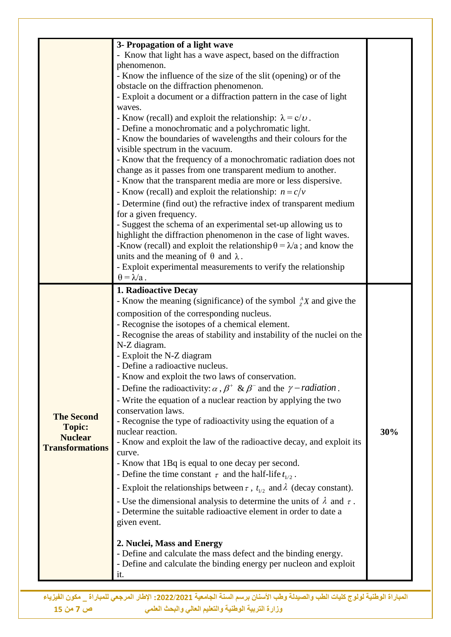|                        | 3- Propagation of a light wave                                                                     |     |
|------------------------|----------------------------------------------------------------------------------------------------|-----|
|                        | - Know that light has a wave aspect, based on the diffraction                                      |     |
|                        | phenomenon.                                                                                        |     |
|                        | - Know the influence of the size of the slit (opening) or of the                                   |     |
|                        | obstacle on the diffraction phenomenon.                                                            |     |
|                        | - Exploit a document or a diffraction pattern in the case of light                                 |     |
|                        | waves.                                                                                             |     |
|                        | - Know (recall) and exploit the relationship: $\lambda = c/v$ .                                    |     |
|                        | - Define a monochromatic and a polychromatic light.                                                |     |
|                        | - Know the boundaries of wavelengths and their colours for the<br>visible spectrum in the vacuum.  |     |
|                        | - Know that the frequency of a monochromatic radiation does not                                    |     |
|                        | change as it passes from one transparent medium to another.                                        |     |
|                        | - Know that the transparent media are more or less dispersive.                                     |     |
|                        | - Know (recall) and exploit the relationship: $n = c/v$                                            |     |
|                        | - Determine (find out) the refractive index of transparent medium                                  |     |
|                        | for a given frequency.                                                                             |     |
|                        | - Suggest the schema of an experimental set-up allowing us to                                      |     |
|                        | highlight the diffraction phenomenon in the case of light waves.                                   |     |
|                        | -Know (recall) and exploit the relationship $\theta = \lambda/a$ ; and know the                    |     |
|                        | units and the meaning of $\theta$ and $\lambda$ .                                                  |     |
|                        | - Exploit experimental measurements to verify the relationship                                     |     |
|                        | $\theta = \lambda/a$ .                                                                             |     |
|                        | 1. Radioactive Decay                                                                               |     |
|                        | - Know the meaning (significance) of the symbol ${}_{7}^{A}X$ and give the                         |     |
|                        | composition of the corresponding nucleus.                                                          |     |
|                        | - Recognise the isotopes of a chemical element.                                                    |     |
|                        | - Recognise the areas of stability and instability of the nuclei on the                            |     |
|                        | N-Z diagram.                                                                                       |     |
|                        | - Exploit the N-Z diagram                                                                          |     |
|                        | Define a radioactive nucleus                                                                       |     |
|                        | - Know and exploit the two laws of conservation.                                                   |     |
|                        | - Define the radioactivity: $\alpha$ , $\beta^+$ & $\beta^-$ and the $\gamma$ - <i>radiation</i> . |     |
|                        | - Write the equation of a nuclear reaction by applying the two                                     |     |
| <b>The Second</b>      | conservation laws.                                                                                 |     |
| <b>Topic:</b>          | - Recognise the type of radioactivity using the equation of a                                      |     |
| <b>Nuclear</b>         | nuclear reaction.                                                                                  | 30% |
| <b>Transformations</b> | - Know and exploit the law of the radioactive decay, and exploit its                               |     |
|                        | curve.                                                                                             |     |
|                        | - Know that 1Bq is equal to one decay per second.                                                  |     |
|                        | - Define the time constant $\tau$ and the half-life $t_{1/2}$ .                                    |     |
|                        | - Exploit the relationships between $\tau$ , $t_{1/2}$ and $\lambda$ (decay constant).             |     |
|                        | - Use the dimensional analysis to determine the units of $\lambda$ and $\tau$ .                    |     |
|                        | - Determine the suitable radioactive element in order to date a                                    |     |
|                        |                                                                                                    |     |
|                        | given event.                                                                                       |     |
|                        |                                                                                                    |     |
|                        | 2. Nuclei, Mass and Energy                                                                         |     |
|                        | - Define and calculate the mass defect and the binding energy.                                     |     |
|                        | - Define and calculate the binding energy per nucleon and exploit<br>it.                           |     |

 **وزارة التربية الوطنية والتعليم العالي والبحث العلمي ص 7 من 25**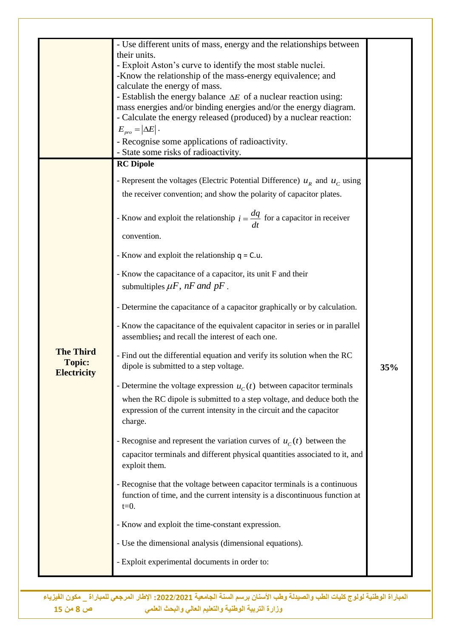|                                                         | - Use different units of mass, energy and the relationships between<br>their units.<br>- Exploit Aston's curve to identify the most stable nuclei.<br>-Know the relationship of the mass-energy equivalence; and<br>calculate the energy of mass.<br>- Establish the energy balance $\Delta E$ of a nuclear reaction using:<br>mass energies and/or binding energies and/or the energy diagram.<br>- Calculate the energy released (produced) by a nuclear reaction:<br>$E_{pro} =  \Delta E .$<br>- Recognise some applications of radioactivity.<br>- State some risks of radioactivity.<br><b>RC</b> Dipole<br>- Represent the voltages (Electric Potential Difference) $u_R$ and $u_C$ using<br>the receiver convention; and show the polarity of capacitor plates.<br>- Know and exploit the relationship $i = \frac{dq}{dt}$ for a capacitor in receiver<br>convention.<br>- Know and exploit the relationship $q = C.u$ .     |     |
|---------------------------------------------------------|--------------------------------------------------------------------------------------------------------------------------------------------------------------------------------------------------------------------------------------------------------------------------------------------------------------------------------------------------------------------------------------------------------------------------------------------------------------------------------------------------------------------------------------------------------------------------------------------------------------------------------------------------------------------------------------------------------------------------------------------------------------------------------------------------------------------------------------------------------------------------------------------------------------------------------------|-----|
| <b>The Third</b><br><b>Topic:</b><br><b>Electricity</b> | - Know the capacitance of a capacitor, its unit F and their<br>submultiples $\mu F$ , nF and pF.<br>- Determine the capacitance of a capacitor graphically or by calculation.<br>- Know the capacitance of the equivalent capacitor in series or in parallel<br>assemblies; and recall the interest of each one.<br>- Find out the differential equation and verify its solution when the RC<br>dipole is submitted to a step voltage.<br>- Determine the voltage expression $u_c(t)$ between capacitor terminals<br>when the RC dipole is submitted to a step voltage, and deduce both the<br>expression of the current intensity in the circuit and the capacitor<br>charge.<br>- Recognise and represent the variation curves of $u_c(t)$ between the<br>capacitor terminals and different physical quantities associated to it, and<br>exploit them.<br>- Recognise that the voltage between capacitor terminals is a continuous | 35% |
|                                                         | function of time, and the current intensity is a discontinuous function at<br>$t=0$ .<br>- Know and exploit the time-constant expression.<br>- Use the dimensional analysis (dimensional equations).<br>- Exploit experimental documents in order to:                                                                                                                                                                                                                                                                                                                                                                                                                                                                                                                                                                                                                                                                                |     |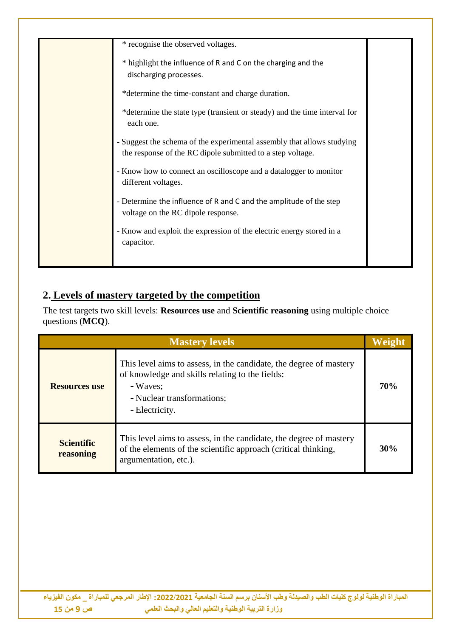| * recognise the observed voltages.                                                                                                   |  |
|--------------------------------------------------------------------------------------------------------------------------------------|--|
| * highlight the influence of R and C on the charging and the<br>discharging processes.                                               |  |
| *determine the time-constant and charge duration.                                                                                    |  |
| *determine the state type (transient or steady) and the time interval for<br>each one.                                               |  |
| - Suggest the schema of the experimental assembly that allows studying<br>the response of the RC dipole submitted to a step voltage. |  |
| - Know how to connect an oscilloscope and a datalogger to monitor<br>different voltages.                                             |  |
| - Determine the influence of R and C and the amplitude of the step<br>voltage on the RC dipole response.                             |  |
| - Know and exploit the expression of the electric energy stored in a<br>capacitor.                                                   |  |
|                                                                                                                                      |  |

### **2. Levels of mastery targeted by the competition**

The test targets two skill levels: **Resources use** and **Scientific reasoning** using multiple choice questions (**MCQ**).

| <b>Mastery levels</b>          |                                                                                                                                                                                   |     |
|--------------------------------|-----------------------------------------------------------------------------------------------------------------------------------------------------------------------------------|-----|
| <b>Resources use</b>           | This level aims to assess, in the candidate, the degree of mastery<br>of knowledge and skills relating to the fields:<br>- Waves:<br>- Nuclear transformations;<br>- Electricity. | 70% |
| <b>Scientific</b><br>reasoning | This level aims to assess, in the candidate, the degree of mastery<br>of the elements of the scientific approach (critical thinking,<br>argumentation, etc.).                     | 30% |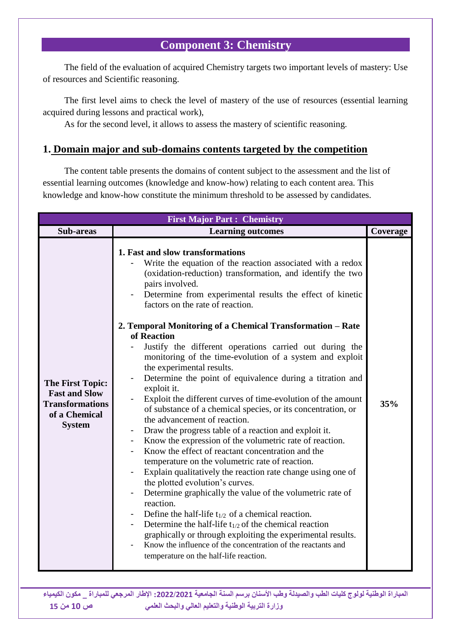#### **Component 3: Chemistry**

The field of the evaluation of acquired Chemistry targets two important levels of mastery: Use of resources and Scientific reasoning.

The first level aims to check the level of mastery of the use of resources (essential learning acquired during lessons and practical work),

As for the second level, it allows to assess the mastery of scientific reasoning.

#### **1. Domain major and sub-domains contents targeted by the competition**

The content table presents the domains of content subject to the assessment and the list of essential learning outcomes (knowledge and know-how) relating to each content area. This knowledge and know-how constitute the minimum threshold to be assessed by candidates.

| <b>First Major Part: Chemistry</b>                                                                          |                                                                                                                                                                                                                                                                                                                                                                                                                                                                                                                                                                                                                                                                                                                                                                                                                                                                                                                                                                                                                                                                                                                                                                                                                                                                                                                                                                                                                                                                                                    |     |
|-------------------------------------------------------------------------------------------------------------|----------------------------------------------------------------------------------------------------------------------------------------------------------------------------------------------------------------------------------------------------------------------------------------------------------------------------------------------------------------------------------------------------------------------------------------------------------------------------------------------------------------------------------------------------------------------------------------------------------------------------------------------------------------------------------------------------------------------------------------------------------------------------------------------------------------------------------------------------------------------------------------------------------------------------------------------------------------------------------------------------------------------------------------------------------------------------------------------------------------------------------------------------------------------------------------------------------------------------------------------------------------------------------------------------------------------------------------------------------------------------------------------------------------------------------------------------------------------------------------------------|-----|
| Sub-areas                                                                                                   | <b>Learning outcomes</b><br>Coverage                                                                                                                                                                                                                                                                                                                                                                                                                                                                                                                                                                                                                                                                                                                                                                                                                                                                                                                                                                                                                                                                                                                                                                                                                                                                                                                                                                                                                                                               |     |
| <b>The First Topic:</b><br><b>Fast and Slow</b><br><b>Transformations</b><br>of a Chemical<br><b>System</b> | 1. Fast and slow transformations<br>Write the equation of the reaction associated with a redox<br>(oxidation-reduction) transformation, and identify the two<br>pairs involved.<br>Determine from experimental results the effect of kinetic<br>factors on the rate of reaction.<br>2. Temporal Monitoring of a Chemical Transformation – Rate<br>of Reaction<br>Justify the different operations carried out during the<br>monitoring of the time-evolution of a system and exploit<br>the experimental results.<br>Determine the point of equivalence during a titration and<br>exploit it.<br>Exploit the different curves of time-evolution of the amount<br>of substance of a chemical species, or its concentration, or<br>the advancement of reaction.<br>Draw the progress table of a reaction and exploit it.<br>Know the expression of the volumetric rate of reaction.<br>Know the effect of reactant concentration and the<br>temperature on the volumetric rate of reaction.<br>Explain qualitatively the reaction rate change using one of<br>$\overline{\phantom{a}}$<br>the plotted evolution's curves.<br>Determine graphically the value of the volumetric rate of<br>reaction.<br>Define the half-life $t_{1/2}$ of a chemical reaction.<br>Determine the half-life $t_{1/2}$ of the chemical reaction<br>graphically or through exploiting the experimental results.<br>Know the influence of the concentration of the reactants and<br>temperature on the half-life reaction. | 35% |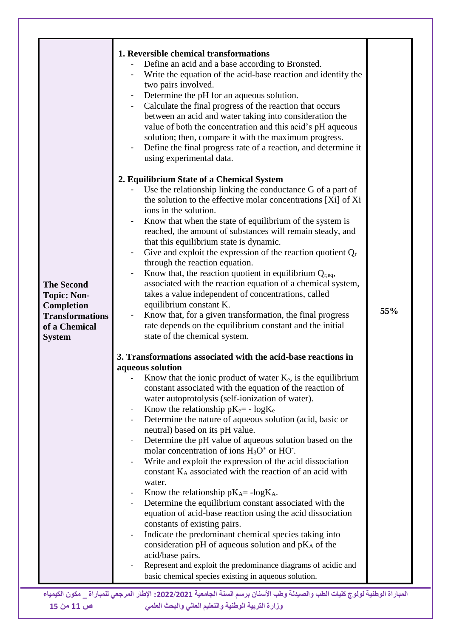| Write the equation of the acid-base reaction and identify the<br>two pairs involved.<br>Determine the pH for an aqueous solution.<br>Calculate the final progress of the reaction that occurs<br>between an acid and water taking into consideration the<br>value of both the concentration and this acid's pH aqueous<br>solution; then, compare it with the maximum progress.<br>Define the final progress rate of a reaction, and determine it<br>using experimental data.<br>2. Equilibrium State of a Chemical System<br>Use the relationship linking the conductance G of a part of<br>the solution to the effective molar concentrations [Xi] of Xi<br>ions in the solution.<br>Know that when the state of equilibrium of the system is<br>reached, the amount of substances will remain steady, and<br>that this equilibrium state is dynamic.<br>Give and exploit the expression of the reaction quotient $Q_r$<br>through the reaction equation.<br>Know that, the reaction quotient in equilibrium $Q_{r,eq}$ ,<br>$\blacksquare$<br>associated with the reaction equation of a chemical system,<br><b>The Second</b><br>takes a value independent of concentrations, called<br><b>Topic: Non-</b><br>equilibrium constant K.<br>Completion<br>55%<br>Know that, for a given transformation, the final progress<br><b>Transformations</b><br>rate depends on the equilibrium constant and the initial<br>of a Chemical<br>state of the chemical system.<br><b>System</b><br>3. Transformations associated with the acid-base reactions in<br>aqueous solution<br>Know that the ionic product of water $K_e$ , is the equilibrium<br>constant associated with the equation of the reaction of<br>water autoprotolysis (self-ionization of water).<br>Know the relationship $pK_e$ – $log K_e$<br>Determine the nature of aqueous solution (acid, basic or<br>neutral) based on its pH value.<br>Determine the pH value of aqueous solution based on the<br>molar concentration of ions $H_3O^+$ or HO.<br>Write and exploit the expression of the acid dissociation<br>constant KA associated with the reaction of an acid with<br>water.<br>Know the relationship $pK_A = -\log K_A$ .<br>Determine the equilibrium constant associated with the<br>equation of acid-base reaction using the acid dissociation<br>constants of existing pairs.<br>Indicate the predominant chemical species taking into<br>consideration pH of aqueous solution and $pK_A$ of the<br>acid/base pairs.<br>Represent and exploit the predominance diagrams of acidic and<br>basic chemical species existing in aqueous solution.<br>المباراة الوطنية لولوج كليات الطب والصيدلة وطب الأسنان برسم السنة الجامعية 2022/2021: الإطار المرجعي للمباراة _ مكون الكيمياء<br>وزارة التربية الوطنية والتعليم العالى والبحث العلمى |
|--------------------------------------------------------------------------------------------------------------------------------------------------------------------------------------------------------------------------------------------------------------------------------------------------------------------------------------------------------------------------------------------------------------------------------------------------------------------------------------------------------------------------------------------------------------------------------------------------------------------------------------------------------------------------------------------------------------------------------------------------------------------------------------------------------------------------------------------------------------------------------------------------------------------------------------------------------------------------------------------------------------------------------------------------------------------------------------------------------------------------------------------------------------------------------------------------------------------------------------------------------------------------------------------------------------------------------------------------------------------------------------------------------------------------------------------------------------------------------------------------------------------------------------------------------------------------------------------------------------------------------------------------------------------------------------------------------------------------------------------------------------------------------------------------------------------------------------------------------------------------------------------------------------------------------------------------------------------------------------------------------------------------------------------------------------------------------------------------------------------------------------------------------------------------------------------------------------------------------------------------------------------------------------------------------------------------------------------------------------------------------------------------------------------------------------------------------------------------------------------------------------------------------------------------------------------------------------------------------------------------------------------------------------------------------------------------------------------------------------------------------------------------------------------------------------------|
|--------------------------------------------------------------------------------------------------------------------------------------------------------------------------------------------------------------------------------------------------------------------------------------------------------------------------------------------------------------------------------------------------------------------------------------------------------------------------------------------------------------------------------------------------------------------------------------------------------------------------------------------------------------------------------------------------------------------------------------------------------------------------------------------------------------------------------------------------------------------------------------------------------------------------------------------------------------------------------------------------------------------------------------------------------------------------------------------------------------------------------------------------------------------------------------------------------------------------------------------------------------------------------------------------------------------------------------------------------------------------------------------------------------------------------------------------------------------------------------------------------------------------------------------------------------------------------------------------------------------------------------------------------------------------------------------------------------------------------------------------------------------------------------------------------------------------------------------------------------------------------------------------------------------------------------------------------------------------------------------------------------------------------------------------------------------------------------------------------------------------------------------------------------------------------------------------------------------------------------------------------------------------------------------------------------------------------------------------------------------------------------------------------------------------------------------------------------------------------------------------------------------------------------------------------------------------------------------------------------------------------------------------------------------------------------------------------------------------------------------------------------------------------------------------------------------|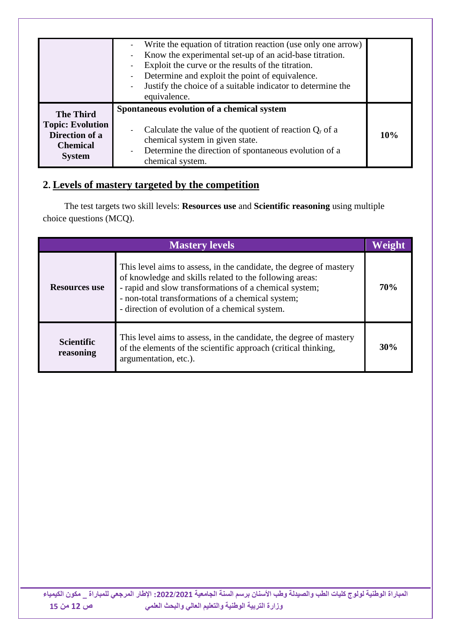|                                                                                                   | Write the equation of titration reaction (use only one arrow)<br>Know the experimental set-up of an acid-base titration.<br>Exploit the curve or the results of the titration.<br>Determine and exploit the point of equivalence.<br>Justify the choice of a suitable indicator to determine the<br>$\blacksquare$<br>equivalence. |     |
|---------------------------------------------------------------------------------------------------|------------------------------------------------------------------------------------------------------------------------------------------------------------------------------------------------------------------------------------------------------------------------------------------------------------------------------------|-----|
| <b>The Third</b><br><b>Topic: Evolution</b><br>Direction of a<br><b>Chemical</b><br><b>System</b> | Spontaneous evolution of a chemical system<br>Calculate the value of the quotient of reaction $Q_r$ of a<br>chemical system in given state.<br>Determine the direction of spontaneous evolution of a<br>$\overline{\phantom{a}}$<br>chemical system.                                                                               | 10% |

#### **2. Levels of mastery targeted by the competition**

The test targets two skill levels: **Resources use** and **Scientific reasoning** using multiple choice questions (MCQ).

| <b>Mastery levels</b>          |                                                                                                                                                                                                                                                                                                |     |
|--------------------------------|------------------------------------------------------------------------------------------------------------------------------------------------------------------------------------------------------------------------------------------------------------------------------------------------|-----|
| <b>Resources use</b>           | This level aims to assess, in the candidate, the degree of mastery<br>of knowledge and skills related to the following areas:<br>- rapid and slow transformations of a chemical system;<br>- non-total transformations of a chemical system;<br>- direction of evolution of a chemical system. | 70% |
| <b>Scientific</b><br>reasoning | This level aims to assess, in the candidate, the degree of mastery<br>of the elements of the scientific approach (critical thinking,<br>argumentation, etc.).                                                                                                                                  |     |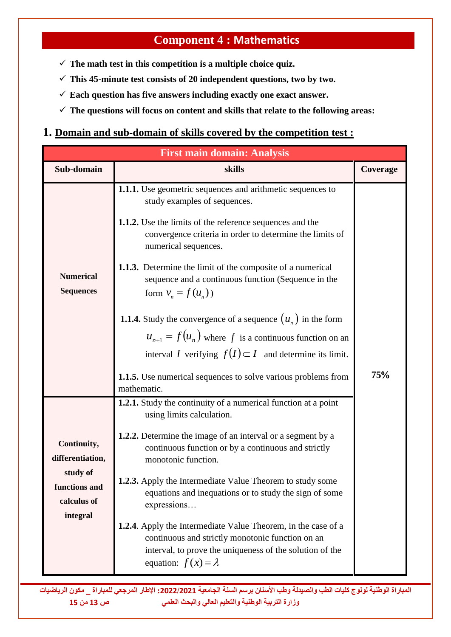# **Component 4 : Mathematics**

- $\checkmark$  The math test in this competition is a multiple choice quiz.
- $\checkmark$  This 45-minute test consists of 20 independent questions, two by two.
- $\checkmark$  Each question has five answers including exactly one exact answer.
- **The questions will focus on content and skills that relate to the following areas:**

#### **1. Domain and sub-domain of skills covered by the competition test :**

| <b>First main domain: Analysis</b>                                                      |                                                                                                                                                                                                                                                                                                                                                                                                                                                                                                                                                                                                                                                                                                              |          |  |  |
|-----------------------------------------------------------------------------------------|--------------------------------------------------------------------------------------------------------------------------------------------------------------------------------------------------------------------------------------------------------------------------------------------------------------------------------------------------------------------------------------------------------------------------------------------------------------------------------------------------------------------------------------------------------------------------------------------------------------------------------------------------------------------------------------------------------------|----------|--|--|
| Sub-domain                                                                              | skills                                                                                                                                                                                                                                                                                                                                                                                                                                                                                                                                                                                                                                                                                                       | Coverage |  |  |
| <b>Numerical</b><br><b>Sequences</b>                                                    | <b>1.1.1.</b> Use geometric sequences and arithmetic sequences to<br>study examples of sequences.<br><b>1.1.2.</b> Use the limits of the reference sequences and the<br>convergence criteria in order to determine the limits of<br>numerical sequences.<br>1.1.3. Determine the limit of the composite of a numerical<br>sequence and a continuous function (Sequence in the<br>form $v_n = f(u_n)$ )<br><b>1.1.4.</b> Study the convergence of a sequence $(u_n)$ in the form<br>$u_{n+1} = f(u_n)$ where f is a continuous function on an<br>interval <i>I</i> verifying $f(I) \subset I$ and determine its limit.<br><b>1.1.5.</b> Use numerical sequences to solve various problems from<br>mathematic. | 75%      |  |  |
| Continuity,<br>differentiation,<br>study of<br>functions and<br>calculus of<br>integral | <b>1.2.1.</b> Study the continuity of a numerical function at a point<br>using limits calculation.<br><b>1.2.2.</b> Determine the image of an interval or a segment by a<br>continuous function or by a continuous and strictly<br>monotonic function.<br>1.2.3. Apply the Intermediate Value Theorem to study some<br>equations and inequations or to study the sign of some<br>expressions<br><b>1.2.4.</b> Apply the Intermediate Value Theorem, in the case of a<br>continuous and strictly monotonic function on an<br>interval, to prove the uniqueness of the solution of the<br>equation: $f(x) = \lambda$                                                                                           |          |  |  |

**المباراة الوطنية لولوج كليات الطب والصيدلة وطب األسنان برسم السنة الجامعية :0200/0202 اإلطار المرجعي للمباراة \_ مكون الرياضيات وزارة التربية الوطنية والتعليم العالي والبحث العلمي ص 13 من 15**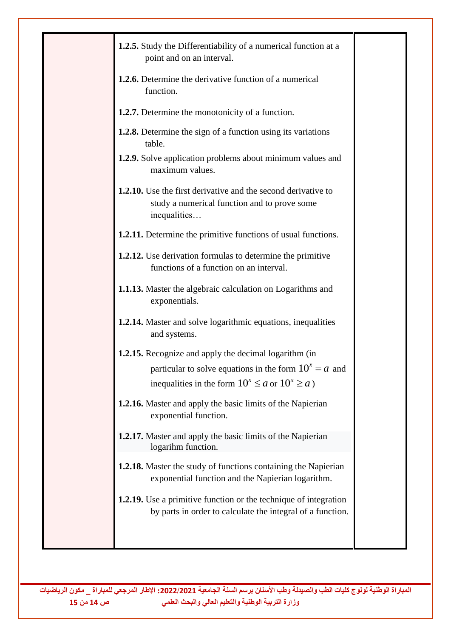| 1.2.6. Determine the derivative function of a numerical<br>function.<br><b>1.2.7.</b> Determine the monotonicity of a function.<br><b>1.2.8.</b> Determine the sign of a function using its variations<br>table.<br><b>1.2.9.</b> Solve application problems about minimum values and<br>maximum values.<br>1.2.10. Use the first derivative and the second derivative to<br>study a numerical function and to prove some<br>inequalities<br><b>1.2.11.</b> Determine the primitive functions of usual functions.<br><b>1.2.12.</b> Use derivation formulas to determine the primitive<br>functions of a function on an interval.<br>1.1.13. Master the algebraic calculation on Logarithms and<br>exponentials.<br><b>1.2.14.</b> Master and solve logarithmic equations, inequalities<br>and systems.<br><b>1.2.15.</b> Recognize and apply the decimal logarithm (in<br>particular to solve equations in the form $10^x = a$ and<br>inequalities in the form $10^x \le a$ or $10^x \ge a$ )<br>1.2.16. Master and apply the basic limits of the Napierian<br>exponential function.<br>1.2.17. Master and apply the basic limits of the Napierian<br>logarihm function.<br><b>1.2.18.</b> Master the study of functions containing the Napierian<br>exponential function and the Napierian logarithm. | 1.2.5. Study the Differentiability of a numerical function at a<br>point and on an interval. |  |
|---------------------------------------------------------------------------------------------------------------------------------------------------------------------------------------------------------------------------------------------------------------------------------------------------------------------------------------------------------------------------------------------------------------------------------------------------------------------------------------------------------------------------------------------------------------------------------------------------------------------------------------------------------------------------------------------------------------------------------------------------------------------------------------------------------------------------------------------------------------------------------------------------------------------------------------------------------------------------------------------------------------------------------------------------------------------------------------------------------------------------------------------------------------------------------------------------------------------------------------------------------------------------------------------------------|----------------------------------------------------------------------------------------------|--|
|                                                                                                                                                                                                                                                                                                                                                                                                                                                                                                                                                                                                                                                                                                                                                                                                                                                                                                                                                                                                                                                                                                                                                                                                                                                                                                         |                                                                                              |  |
|                                                                                                                                                                                                                                                                                                                                                                                                                                                                                                                                                                                                                                                                                                                                                                                                                                                                                                                                                                                                                                                                                                                                                                                                                                                                                                         |                                                                                              |  |
|                                                                                                                                                                                                                                                                                                                                                                                                                                                                                                                                                                                                                                                                                                                                                                                                                                                                                                                                                                                                                                                                                                                                                                                                                                                                                                         |                                                                                              |  |
|                                                                                                                                                                                                                                                                                                                                                                                                                                                                                                                                                                                                                                                                                                                                                                                                                                                                                                                                                                                                                                                                                                                                                                                                                                                                                                         |                                                                                              |  |
|                                                                                                                                                                                                                                                                                                                                                                                                                                                                                                                                                                                                                                                                                                                                                                                                                                                                                                                                                                                                                                                                                                                                                                                                                                                                                                         |                                                                                              |  |
|                                                                                                                                                                                                                                                                                                                                                                                                                                                                                                                                                                                                                                                                                                                                                                                                                                                                                                                                                                                                                                                                                                                                                                                                                                                                                                         |                                                                                              |  |
|                                                                                                                                                                                                                                                                                                                                                                                                                                                                                                                                                                                                                                                                                                                                                                                                                                                                                                                                                                                                                                                                                                                                                                                                                                                                                                         |                                                                                              |  |
|                                                                                                                                                                                                                                                                                                                                                                                                                                                                                                                                                                                                                                                                                                                                                                                                                                                                                                                                                                                                                                                                                                                                                                                                                                                                                                         |                                                                                              |  |
|                                                                                                                                                                                                                                                                                                                                                                                                                                                                                                                                                                                                                                                                                                                                                                                                                                                                                                                                                                                                                                                                                                                                                                                                                                                                                                         |                                                                                              |  |
|                                                                                                                                                                                                                                                                                                                                                                                                                                                                                                                                                                                                                                                                                                                                                                                                                                                                                                                                                                                                                                                                                                                                                                                                                                                                                                         |                                                                                              |  |
|                                                                                                                                                                                                                                                                                                                                                                                                                                                                                                                                                                                                                                                                                                                                                                                                                                                                                                                                                                                                                                                                                                                                                                                                                                                                                                         |                                                                                              |  |
|                                                                                                                                                                                                                                                                                                                                                                                                                                                                                                                                                                                                                                                                                                                                                                                                                                                                                                                                                                                                                                                                                                                                                                                                                                                                                                         |                                                                                              |  |
|                                                                                                                                                                                                                                                                                                                                                                                                                                                                                                                                                                                                                                                                                                                                                                                                                                                                                                                                                                                                                                                                                                                                                                                                                                                                                                         |                                                                                              |  |
|                                                                                                                                                                                                                                                                                                                                                                                                                                                                                                                                                                                                                                                                                                                                                                                                                                                                                                                                                                                                                                                                                                                                                                                                                                                                                                         |                                                                                              |  |
|                                                                                                                                                                                                                                                                                                                                                                                                                                                                                                                                                                                                                                                                                                                                                                                                                                                                                                                                                                                                                                                                                                                                                                                                                                                                                                         |                                                                                              |  |
| <b>1.2.19.</b> Use a primitive function or the technique of integration<br>by parts in order to calculate the integral of a function.                                                                                                                                                                                                                                                                                                                                                                                                                                                                                                                                                                                                                                                                                                                                                                                                                                                                                                                                                                                                                                                                                                                                                                   |                                                                                              |  |